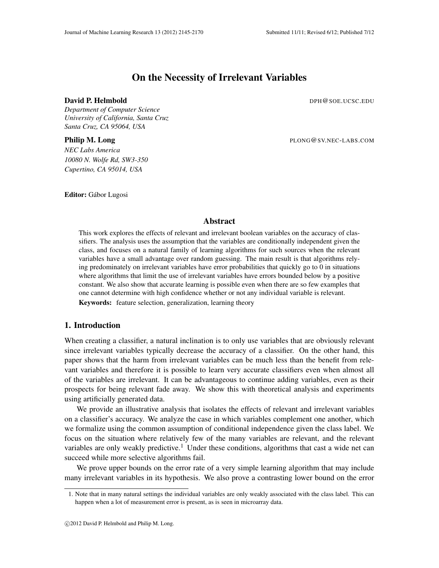# On the Necessity of Irrelevant Variables

#### **David P. Helmbold** Development of the Development of Development Development Development Development Development D

*Department of Computer Science University of California, Santa Cruz Santa Cruz, CA 95064, USA*

**Philip M. Long** PLONG@SV.NEC-LABS.COM

*NEC Labs America 10080 N. Wolfe Rd, SW3-350 Cupertino, CA 95014, USA*

Editor: Gábor Lugosi

## Abstract

This work explores the effects of relevant and irrelevant boolean variables on the accuracy of classifiers. The analysis uses the assumption that the variables are conditionally independent given the class, and focuses on a natural family of learning algorithms for such sources when the relevant variables have a small advantage over random guessing. The main result is that algorithms relying predominately on irrelevant variables have error probabilities that quickly go to 0 in situations where algorithms that limit the use of irrelevant variables have errors bounded below by a positive constant. We also show that accurate learning is possible even when there are so few examples that one cannot determine with high confidence whether or not any individual variable is relevant.

Keywords: feature selection, generalization, learning theory

## 1. Introduction

When creating a classifier, a natural inclination is to only use variables that are obviously relevant since irrelevant variables typically decrease the accuracy of a classifier. On the other hand, this paper shows that the harm from irrelevant variables can be much less than the benefit from relevant variables and therefore it is possible to learn very accurate classifiers even when almost all of the variables are irrelevant. It can be advantageous to continue adding variables, even as their prospects for being relevant fade away. We show this with theoretical analysis and experiments using artificially generated data.

We provide an illustrative analysis that isolates the effects of relevant and irrelevant variables on a classifier's accuracy. We analyze the case in which variables complement one another, which we formalize using the common assumption of conditional independence given the class label. We focus on the situation where relatively few of the many variables are relevant, and the relevant variables are only weakly predictive.<sup>1</sup> Under these conditions, algorithms that cast a wide net can succeed while more selective algorithms fail.

We prove upper bounds on the error rate of a very simple learning algorithm that may include many irrelevant variables in its hypothesis. We also prove a contrasting lower bound on the error

<sup>1.</sup> Note that in many natural settings the individual variables are only weakly associated with the class label. This can happen when a lot of measurement error is present, as is seen in microarray data.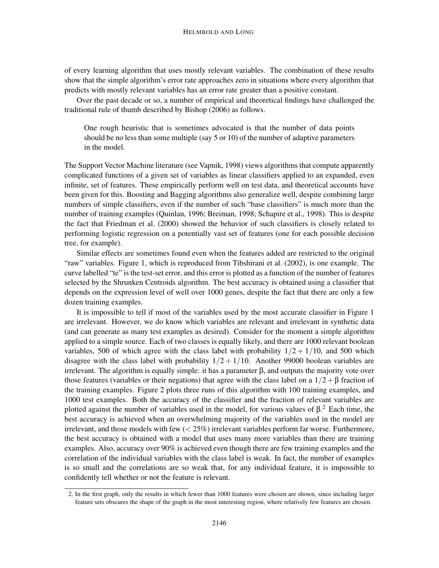of every learning algorithm that uses mostly relevant variables. The combination of these results show that the simple algorithm's error rate approaches zero in situations where every algorithm that predicts with mostly relevant variables has an error rate greater than a positive constant.

Over the past decade or so, a number of empirical and theoretical findings have challenged the traditional rule of thumb described by Bishop (2006) as follows.

One rough heuristic that is sometimes advocated is that the number of data points should be no less than some multiple (say 5 or 10) of the number of adaptive parameters in the model.

The Support Vector Machine literature (see Vapnik, 1998) views algorithms that compute apparently complicated functions of a given set of variables as linear classifiers applied to an expanded, even infinite, set of features. These empirically perform well on test data, and theoretical accounts have been given for this. Boosting and Bagging algorithms also generalize well, despite combining large numbers of simple classifiers, even if the number of such "base classifiers" is much more than the number of training examples (Quinlan, 1996; Breiman, 1998; Schapire et al., 1998). This is despite the fact that Friedman et al. (2000) showed the behavior of such classifiers is closely related to performing logistic regression on a potentially vast set of features (one for each possible decision tree, for example).

Similar effects are sometimes found even when the features added are restricted to the original "raw" variables. Figure 1, which is reproduced from Tibshirani et al. (2002), is one example. The curve labelled "te" is the test-set error, and this error is plotted as a function of the number of features selected by the Shrunken Centroids algorithm. The best accuracy is obtained using a classifier that depends on the expression level of well over 1000 genes, despite the fact that there are only a few dozen training examples.

It is impossible to tell if most of the variables used by the most accurate classifier in Figure 1 are irrelevant. However, we do know which variables are relevant and irrelevant in synthetic data (and can generate as many test examples as desired). Consider for the moment a simple algorithm applied to a simple source. Each of two classes is equally likely, and there are 1000 relevant boolean variables, 500 of which agree with the class label with probability  $1/2 + 1/10$ , and 500 which disagree with the class label with probability  $1/2 + 1/10$ . Another 99000 boolean variables are irrelevant. The algorithm is equally simple: it has a parameter β, and outputs the majority vote over those features (variables or their negations) that agree with the class label on a  $1/2+\beta$  fraction of the training examples. Figure 2 plots three runs of this algorithm with 100 training examples, and 1000 test examples. Both the accuracy of the classifier and the fraction of relevant variables are plotted against the number of variables used in the model, for various values of  $\beta$ .<sup>2</sup> Each time, the best accuracy is achieved when an overwhelming majority of the variables used in the model are irrelevant, and those models with few  $( $25\%$ ) irrelevant variables perform far worse. Furthermore,$ the best accuracy is obtained with a model that uses many more variables than there are training examples. Also, accuracy over 90% is achieved even though there are few training examples and the correlation of the individual variables with the class label is weak. In fact, the number of examples is so small and the correlations are so weak that, for any individual feature, it is impossible to confidently tell whether or not the feature is relevant.

<sup>2.</sup> In the first graph, only the results in which fewer than 1000 features were chosen are shown, since including larger feature sets obscures the shape of the graph in the most interesting region, where relatively few features are chosen.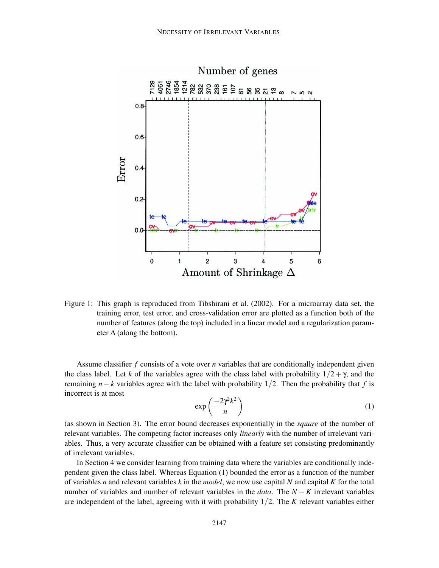

Figure 1: This graph is reproduced from Tibshirani et al. (2002). For a microarray data set, the training error, test error, and cross-validation error are plotted as a function both of the number of features (along the top) included in a linear model and a regularization parameter  $\Delta$  (along the bottom).

Assume classifier *f* consists of a vote over *n* variables that are conditionally independent given the class label. Let *k* of the variables agree with the class label with probability  $1/2 + \gamma$ , and the remaining  $n-k$  variables agree with the label with probability 1/2. Then the probability that *f* is incorrect is at most

$$
\exp\left(\frac{-2\gamma^2 k^2}{n}\right) \tag{1}
$$

(as shown in Section 3). The error bound decreases exponentially in the *square* of the number of relevant variables. The competing factor increases only *linearly* with the number of irrelevant variables. Thus, a very accurate classifier can be obtained with a feature set consisting predominantly of irrelevant variables.

In Section 4 we consider learning from training data where the variables are conditionally independent given the class label. Whereas Equation (1) bounded the error as a function of the number of variables *n* and relevant variables *k* in the *model*, we now use capital *N* and capital *K* for the total number of variables and number of relevant variables in the *data*. The *N* − *K* irrelevant variables are independent of the label, agreeing with it with probability 1/2. The *K* relevant variables either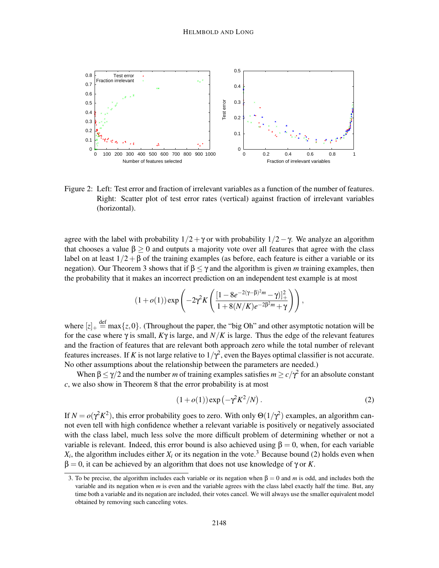

Figure 2: Left: Test error and fraction of irrelevant variables as a function of the number of features. Right: Scatter plot of test error rates (vertical) against fraction of irrelevant variables (horizontal).

agree with the label with probability  $1/2 + \gamma$  or with probability  $1/2 - \gamma$ . We analyze an algorithm that chooses a value  $\beta \ge 0$  and outputs a majority vote over all features that agree with the class label on at least  $1/2 + \beta$  of the training examples (as before, each feature is either a variable or its negation). Our Theorem 3 shows that if  $\beta \leq \gamma$  and the algorithm is given *m* training examples, then the probability that it makes an incorrect prediction on an independent test example is at most

$$
(1+o(1)) \exp \left(-2\gamma^2 K \left(\frac{[1-8e^{-2(\gamma-\beta)^2 m}-\gamma)]_+^2}{1+8(N/K)e^{-2\beta^2 m}+\gamma}\right)\right),\,
$$

where  $[z]_+ \stackrel{\text{def}}{=} \max\{z, 0\}$ . (Throughout the paper, the "big Oh" and other asymptotic notation will be for the case where  $\gamma$  is small,  $K\gamma$  is large, and  $N/K$  is large. Thus the edge of the relevant features and the fraction of features that are relevant both approach zero while the total number of relevant features increases. If *K* is not large relative to  $1/\gamma^2$ , even the Bayes optimal classifier is not accurate. No other assumptions about the relationship between the parameters are needed.)

When  $\beta \le \gamma/2$  and the number *m* of training examples satisfies  $m \ge c/\gamma^2$  for an absolute constant *c*, we also show in Theorem 8 that the error probability is at most

$$
(1 + o(1)) \exp\left(-\gamma^2 K^2/N\right). \tag{2}
$$

If  $N = o(\gamma^2 K^2)$ , this error probability goes to zero. With only  $\Theta(1/\gamma^2)$  examples, an algorithm cannot even tell with high confidence whether a relevant variable is positively or negatively associated with the class label, much less solve the more difficult problem of determining whether or not a variable is relevant. Indeed, this error bound is also achieved using  $\beta = 0$ , when, for each variable  $X_i$ , the algorithm includes either  $X_i$  or its negation in the vote.<sup>3</sup> Because bound (2) holds even when  $β = 0$ , it can be achieved by an algorithm that does not use knowledge of γ or *K*.

<sup>3.</sup> To be precise, the algorithm includes each variable or its negation when  $\beta = 0$  and *m* is odd, and includes both the variable and its negation when *m* is even and the variable agrees with the class label exactly half the time. But, any time both a variable and its negation are included, their votes cancel. We will always use the smaller equivalent model obtained by removing such canceling votes.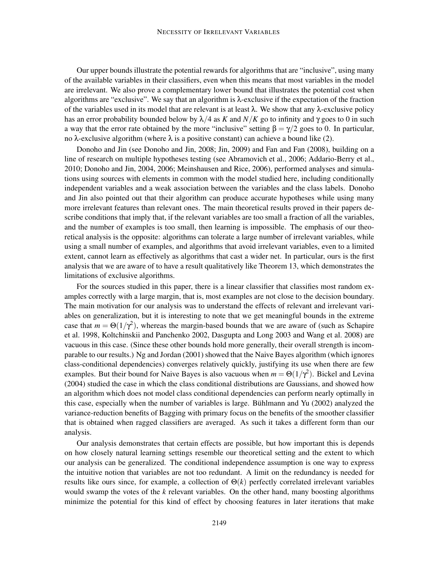Our upper bounds illustrate the potential rewards for algorithms that are "inclusive", using many of the available variables in their classifiers, even when this means that most variables in the model are irrelevant. We also prove a complementary lower bound that illustrates the potential cost when algorithms are "exclusive". We say that an algorithm is λ-exclusive if the expectation of the fraction of the variables used in its model that are relevant is at least  $\lambda$ . We show that any λ-exclusive policy has an error probability bounded below by  $\lambda/4$  as *K* and  $N/K$  go to infinity and  $\gamma$  goes to 0 in such a way that the error rate obtained by the more "inclusive" setting  $\beta = \gamma/2$  goes to 0. In particular, no λ-exclusive algorithm (where λ is a positive constant) can achieve a bound like (2).

Donoho and Jin (see Donoho and Jin, 2008; Jin, 2009) and Fan and Fan (2008), building on a line of research on multiple hypotheses testing (see Abramovich et al., 2006; Addario-Berry et al., 2010; Donoho and Jin, 2004, 2006; Meinshausen and Rice, 2006), performed analyses and simulations using sources with elements in common with the model studied here, including conditionally independent variables and a weak association between the variables and the class labels. Donoho and Jin also pointed out that their algorithm can produce accurate hypotheses while using many more irrelevant features than relevant ones. The main theoretical results proved in their papers describe conditions that imply that, if the relevant variables are too small a fraction of all the variables, and the number of examples is too small, then learning is impossible. The emphasis of our theoretical analysis is the opposite: algorithms can tolerate a large number of irrelevant variables, while using a small number of examples, and algorithms that avoid irrelevant variables, even to a limited extent, cannot learn as effectively as algorithms that cast a wider net. In particular, ours is the first analysis that we are aware of to have a result qualitatively like Theorem 13, which demonstrates the limitations of exclusive algorithms.

For the sources studied in this paper, there is a linear classifier that classifies most random examples correctly with a large margin, that is, most examples are not close to the decision boundary. The main motivation for our analysis was to understand the effects of relevant and irrelevant variables on generalization, but it is interesting to note that we get meaningful bounds in the extreme case that  $m = \Theta(1/\gamma^2)$ , whereas the margin-based bounds that we are aware of (such as Schapire et al. 1998, Koltchinskii and Panchenko 2002, Dasgupta and Long 2003 and Wang et al. 2008) are vacuous in this case. (Since these other bounds hold more generally, their overall strength is incomparable to our results.) Ng and Jordan (2001) showed that the Naive Bayes algorithm (which ignores class-conditional dependencies) converges relatively quickly, justifying its use when there are few examples. But their bound for Naive Bayes is also vacuous when  $m = \Theta(1/\gamma^2)$ . Bickel and Levina (2004) studied the case in which the class conditional distributions are Gaussians, and showed how an algorithm which does not model class conditional dependencies can perform nearly optimally in this case, especially when the number of variables is large. Bühlmann and Yu (2002) analyzed the variance-reduction benefits of Bagging with primary focus on the benefits of the smoother classifier that is obtained when ragged classifiers are averaged. As such it takes a different form than our analysis.

Our analysis demonstrates that certain effects are possible, but how important this is depends on how closely natural learning settings resemble our theoretical setting and the extent to which our analysis can be generalized. The conditional independence assumption is one way to express the intuitive notion that variables are not too redundant. A limit on the redundancy is needed for results like ours since, for example, a collection of Θ(*k*) perfectly correlated irrelevant variables would swamp the votes of the *k* relevant variables. On the other hand, many boosting algorithms minimize the potential for this kind of effect by choosing features in later iterations that make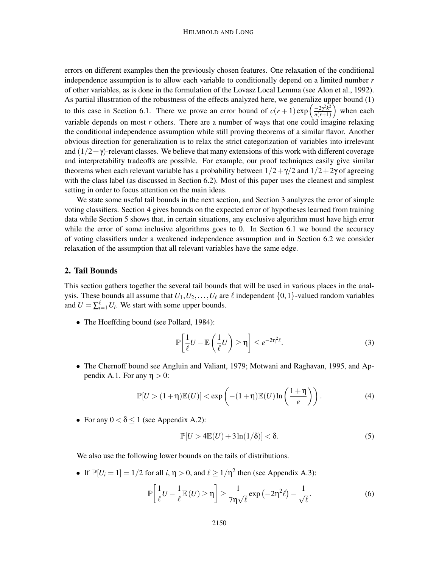errors on different examples then the previously chosen features. One relaxation of the conditional independence assumption is to allow each variable to conditionally depend on a limited number *r* of other variables, as is done in the formulation of the Lovasz Local Lemma (see Alon et al., 1992). As partial illustration of the robustness of the effects analyzed here, we generalize upper bound (1) to this case in Section 6.1. There we prove an error bound of  $c(r+1) \exp\left(\frac{-2\gamma^2 k^2}{n(r+1)}\right)$  $\frac{-2\gamma^2 k^2}{n(r+1)}$  when each variable depends on most *r* others. There are a number of ways that one could imagine relaxing the conditional independence assumption while still proving theorems of a similar flavor. Another obvious direction for generalization is to relax the strict categorization of variables into irrelevant and  $(1/2+\gamma)$ -relevant classes. We believe that many extensions of this work with different coverage and interpretability tradeoffs are possible. For example, our proof techniques easily give similar theorems when each relevant variable has a probability between  $1/2 + \gamma/2$  and  $1/2 + 2\gamma$  of agreeing with the class label (as discussed in Section 6.2). Most of this paper uses the cleanest and simplest setting in order to focus attention on the main ideas.

We state some useful tail bounds in the next section, and Section 3 analyzes the error of simple voting classifiers. Section 4 gives bounds on the expected error of hypotheses learned from training data while Section 5 shows that, in certain situations, any exclusive algorithm must have high error while the error of some inclusive algorithms goes to 0. In Section 6.1 we bound the accuracy of voting classifiers under a weakened independence assumption and in Section 6.2 we consider relaxation of the assumption that all relevant variables have the same edge.

#### 2. Tail Bounds

This section gathers together the several tail bounds that will be used in various places in the analysis. These bounds all assume that  $U_1, U_2, \ldots, U_\ell$  are  $\ell$  independent  $\{0, 1\}$ -valued random variables and  $U = \sum_{i=1}^{l} U_i$ . We start with some upper bounds.

• The Hoeffding bound (see Pollard, 1984):

$$
\mathbb{P}\left[\frac{1}{\ell}U - \mathbb{E}\left(\frac{1}{\ell}U\right) \ge \eta\right] \le e^{-2\eta^2\ell}.\tag{3}
$$

• The Chernoff bound see Angluin and Valiant, 1979; Motwani and Raghavan, 1995, and Appendix A.1. For any  $\eta > 0$ :

$$
\mathbb{P}[U > (1+\eta)\mathbb{E}(U)] < \exp\left(-(1+\eta)\mathbb{E}(U)\ln\left(\frac{1+\eta}{e}\right)\right).
$$
 (4)

• For any  $0 < \delta \le 1$  (see Appendix A.2):

$$
\mathbb{P}[U > 4\mathbb{E}(U) + 3\ln(1/\delta)] < \delta.
$$
 (5)

We also use the following lower bounds on the tails of distributions.

• If  $\mathbb{P}[U_i = 1] = 1/2$  for all  $i, \eta > 0$ , and  $\ell \ge 1/\eta^2$  then (see Appendix A.3):

$$
\mathbb{P}\left[\frac{1}{\ell}U - \frac{1}{\ell}\mathbb{E}(U) \ge \eta\right] \ge \frac{1}{7\eta\sqrt{\ell}}\exp\left(-2\eta^2\ell\right) - \frac{1}{\sqrt{\ell}}.\tag{6}
$$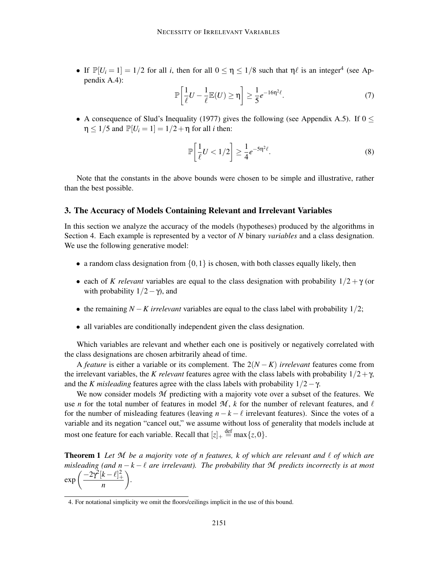• If  $\mathbb{P}[U_i = 1] = 1/2$  for all *i*, then for all  $0 \le \eta \le 1/8$  such that  $\eta \ell$  is an integer<sup>4</sup> (see Appendix A.4):

$$
\mathbb{P}\left[\frac{1}{\ell}U - \frac{1}{\ell}\mathbb{E}(U) \ge \eta\right] \ge \frac{1}{5}e^{-16\eta^2\ell}.\tag{7}
$$

• A consequence of Slud's Inequality (1977) gives the following (see Appendix A.5). If  $0 \le$  $\eta \leq 1/5$  and  $\mathbb{P}[U_i = 1] = 1/2 + \eta$  for all *i* then:

$$
\mathbb{P}\left[\frac{1}{\ell}U < 1/2\right] \ge \frac{1}{4}e^{-5\eta^2\ell}.\tag{8}
$$

Note that the constants in the above bounds were chosen to be simple and illustrative, rather than the best possible.

#### 3. The Accuracy of Models Containing Relevant and Irrelevant Variables

In this section we analyze the accuracy of the models (hypotheses) produced by the algorithms in Section 4. Each example is represented by a vector of *N* binary *variables* and a class designation. We use the following generative model:

- a random class designation from  $\{0,1\}$  is chosen, with both classes equally likely, then
- each of *K relevant* variables are equal to the class designation with probability  $1/2 + \gamma$  (or with probability  $1/2 - \gamma$ ), and
- the remaining *N* −*K irrelevant* variables are equal to the class label with probability 1/2;
- all variables are conditionally independent given the class designation.

Which variables are relevant and whether each one is positively or negatively correlated with the class designations are chosen arbitrarily ahead of time.

A *feature* is either a variable or its complement. The 2(*N* − *K*) *irrelevant* features come from the irrelevant variables, the *K relevant* features agree with the class labels with probability  $1/2 + \gamma$ , and the *K misleading* features agree with the class labels with probability  $1/2 - \gamma$ .

We now consider models M predicting with a majority vote over a subset of the features. We use *n* for the total number of features in model  $M$ , *k* for the number of relevant features, and  $\ell$ for the number of misleading features (leaving  $n - k - \ell$  irrelevant features). Since the votes of a variable and its negation "cancel out," we assume without loss of generality that models include at most one feature for each variable. Recall that  $[z]_+ \stackrel{\text{def}}{=} \max\{z, 0\}.$ 

Theorem 1 *Let M be a majority vote of n features, k of which are relevant and* ℓ *of which are misleading (and n* <sup>−</sup> *<sup>k</sup>* <sup>−</sup> <sup>ℓ</sup> *are irrelevant). The probability that M predicts incorrectly is at most*  $\exp\left(\frac{-2\gamma^2[k-\ell]_+^2}{\gamma^2[k-\ell]_+^2}\right)$ *n .*

<sup>4.</sup> For notational simplicity we omit the floors/ceilings implicit in the use of this bound.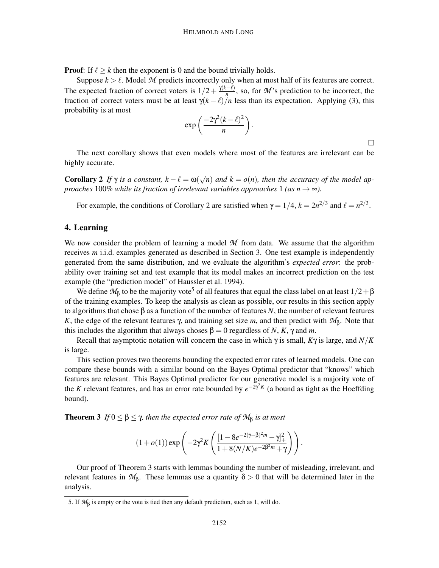**Proof:** If  $\ell \geq k$  then the exponent is 0 and the bound trivially holds.

Suppose  $k > \ell$ . Model M predicts incorrectly only when at most half of its features are correct. The expected fraction of correct voters is  $1/2 + \frac{\gamma(k-\ell)}{n}$ , so, for *M*'s prediction to be incorrect, the fraction of correct voters must be at least  $\gamma(k-\ell)/n$  less than its expectation. Applying (3), this probability is at most

$$
\exp\left(\frac{-2\gamma^2(k-\ell)^2}{n}\right).
$$

 $\Box$ 

The next corollary shows that even models where most of the features are irrelevant can be highly accurate.

**Corollary 2** If  $\gamma$  is a constant,  $k - \ell = \omega(\sqrt{n})$  and  $k = o(n)$ , then the accuracy of the model ap*proaches* 100% *while its fraction of irrelevant variables approaches* 1 *(as n*  $\rightarrow \infty$ *).* 

For example, the conditions of Corollary 2 are satisfied when  $\gamma = 1/4$ ,  $k = 2n^{2/3}$  and  $\ell = n^{2/3}$ .

### 4. Learning

We now consider the problem of learning a model *M* from data. We assume that the algorithm receives *m* i.i.d. examples generated as described in Section 3. One test example is independently generated from the same distribution, and we evaluate the algorithm's *expected error*: the probability over training set and test example that its model makes an incorrect prediction on the test example (the "prediction model" of Haussler et al. 1994).

We define  $M_\beta$  to be the majority vote<sup>5</sup> of all features that equal the class label on at least  $1/2+\beta$ of the training examples. To keep the analysis as clean as possible, our results in this section apply to algorithms that chose β as a function of the number of features *N*, the number of relevant features *K*, the edge of the relevant features γ, and training set size *m*, and then predict with  $M$ β. Note that this includes the algorithm that always choses  $\beta = 0$  regardless of *N*, *K*,  $\gamma$  and *m*.

Recall that asymptotic notation will concern the case in which γ is small, *K*γ is large, and *N*/*K* is large.

This section proves two theorems bounding the expected error rates of learned models. One can compare these bounds with a similar bound on the Bayes Optimal predictor that "knows" which features are relevant. This Bayes Optimal predictor for our generative model is a majority vote of the *K* relevant features, and has an error rate bounded by  $e^{-2\gamma^2 K}$  (a bound as tight as the Hoeffding bound).

**Theorem 3** *If*  $0 \le \beta \le \gamma$ , then the expected error rate of  $\mathcal{M}_{\beta}$  is at most

$$
(1+o(1)) \exp \left(-2\gamma^2 K \left(\frac{[1-8e^{-2(\gamma-\beta)^2 m}-\gamma]_+^2}{1+8(N/K)e^{-2\beta^2 m}+\gamma}\right)\right).
$$

Our proof of Theorem 3 starts with lemmas bounding the number of misleading, irrelevant, and relevant features in  $M_{\beta}$ . These lemmas use a quantity  $\delta > 0$  that will be determined later in the analysis.

<sup>5.</sup> If  $M_\beta$  is empty or the vote is tied then any default prediction, such as 1, will do.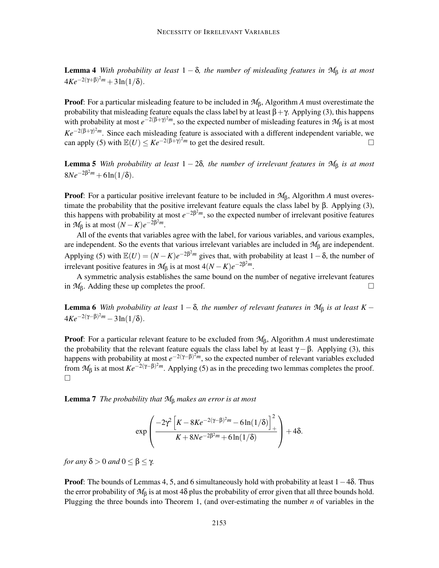**Lemma 4** *With probability at least*  $1 - \delta$ *, the number of misleading features in*  $M_{\beta}$  *is at most*  $4Ke^{-2(\gamma+\beta)^2m}+3\ln(1/\delta).$ 

Proof: For a particular misleading feature to be included in *M*β, Algorithm *A* must overestimate the probability that misleading feature equals the class label by at least  $\beta + \gamma$ . Applying (3), this happens with probability at most  $e^{-2(\beta+\gamma)^2 m}$ , so the expected number of misleading features in  $\mathcal{M}_\beta$  is at most *Ke*<sup>−2(β+γ)<sup>2</sup>*m*</sup>. Since each misleading feature is associated with a different independent variable, we can apply (5) with  $\mathbb{E}(U) \leq Ke^{-2(\beta + \gamma)^2 m}$  to get the desired result.

**Lemma 5** *With probability at least*  $1 - 2\delta$ *, the number of irrelevant features in*  $M_{\beta}$  *is at most*  $8Ne^{-2\beta^2m} + 6ln(1/\delta).$ 

Proof: For a particular positive irrelevant feature to be included in *M*β, Algorithm *A* must overestimate the probability that the positive irrelevant feature equals the class label by β. Applying (3), this happens with probability at most  $e^{-2\beta^2 m}$ , so the expected number of irrelevant positive features in  $\mathcal{M}_{\beta}$  is at most  $(N - K)e^{-2\beta^2 m}$ .

All of the events that variables agree with the label, for various variables, and various examples, are independent. So the events that various irrelevant variables are included in *M*<sup>β</sup> are independent. Applying (5) with  $\mathbb{E}(U) = (N - K)e^{-2\beta^2 m}$  gives that, with probability at least  $1 - \delta$ , the number of irrelevant positive features in  $\mathcal{M}_{\beta}$  is at most  $4(N - K)e^{-2\beta^2 m}$ .

A symmetric analysis establishes the same bound on the number of negative irrelevant features in  $\mathcal{M}_\beta$ . Adding these up completes the proof.  $\Box$ 

**Lemma 6** *With probability at least*  $1 - \delta$ *, the number of relevant features in*  $M_{\beta}$  *is at least*  $K 4Ke^{-2(\gamma-\beta)^2m} - 3\ln(1/\delta).$ 

Proof: For a particular relevant feature to be excluded from *M*β, Algorithm *A* must underestimate the probability that the relevant feature equals the class label by at least  $\gamma - \beta$ . Applying (3), this happens with probability at most  $e^{-2(\gamma-\beta)^2 m}$ , so the expected number of relevant variables excluded from  $M_\beta$  is at most  $Ke^{-2(\gamma-\beta)^2m}$ . Applying (5) as in the preceding two lemmas completes the proof.  $\Box$ 

Lemma 7 *The probability that M*<sup>β</sup> *makes an error is at most*

$$
\exp\left(\frac{-2\gamma^2\left[K-8Ke^{-2(\gamma-\beta)^2m}-6\ln(1/\delta)\right]_+^2}{K+8Ne^{-2\beta^2m}+6\ln(1/\delta)}\right)+4\delta.
$$

*for any*  $\delta > 0$  *and*  $0 \leq \beta \leq \gamma$ *.* 

**Proof:** The bounds of Lemmas 4, 5, and 6 simultaneously hold with probability at least  $1-4\delta$ . Thus the error probability of  $M_\beta$  is at most 4 $\delta$  plus the probability of error given that all three bounds hold. Plugging the three bounds into Theorem 1, (and over-estimating the number *n* of variables in the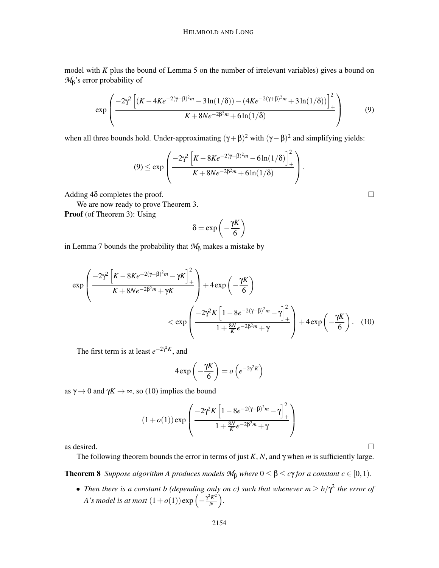model with *K* plus the bound of Lemma 5 on the number of irrelevant variables) gives a bound on *M*β's error probability of

$$
\exp\left(\frac{-2\gamma^2\left[ (K - 4Ke^{-2(\gamma - \beta)^2 m} - 3\ln(1/\delta)) - (4Ke^{-2(\gamma + \beta)^2 m} + 3\ln(1/\delta)) \right]_+^2}{K + 8Ne^{-2\beta^2 m} + 6\ln(1/\delta)}\right)
$$
(9)

when all three bounds hold. Under-approximating  $(\gamma + \beta)^2$  with  $(\gamma - \beta)^2$  and simplifying yields:

$$
(9) \leq \exp\left(\frac{-2\gamma^2 \left[K - 8Ke^{-2(\gamma-\beta)^2 m} - 6\ln(1/\delta)\right]_+^2}{K + 8Ne^{-2\beta^2 m} + 6\ln(1/\delta)}\right).
$$

Adding  $4\delta$  completes the proof.

We are now ready to prove Theorem 3. Proof (of Theorem 3): Using

$$
\delta = \exp\left(-\frac{\gamma K}{6}\right)
$$

in Lemma 7 bounds the probability that *M*<sup>β</sup> makes a mistake by

$$
\exp\left(\frac{-2\gamma^2\left[K-8Ke^{-2(\gamma-\beta)^2m}-\gamma K\right]_+^2}{K+8Ne^{-2\beta^2m}+\gamma K}\right)+4\exp\left(-\frac{\gamma K}{6}\right)\n<\exp\left(\frac{-2\gamma^2 K\left[1-8e^{-2(\gamma-\beta)^2m}-\gamma\right]_+^2}{1+\frac{8N}{K}e^{-2\beta^2m}+\gamma}\right)+4\exp\left(-\frac{\gamma K}{6}\right). (10)
$$

The first term is at least  $e^{-2\gamma^2 K}$ , and

$$
4\exp\left(-\frac{\gamma K}{6}\right) = o\left(e^{-2\gamma^2 K}\right)
$$

as  $\gamma \rightarrow 0$  and  $\gamma K \rightarrow \infty$ , so (10) implies the bound

$$
(1+o(1))\exp\left(\frac{-2\gamma^2 K\left[1-8e^{-2(\gamma-\beta)^2 m}-\gamma\right]_+^2}{1+\frac{8N}{K}e^{-2\beta^2 m}+\gamma}\right)
$$

as desired.  $\Box$ 

The following theorem bounds the error in terms of just *K*, *N*, and γ when *m* is sufficiently large.

**Theorem 8** *Suppose algorithm A produces models*  $M_\beta$  *where*  $0 \le \beta \le c\gamma$  *for a constant*  $c \in [0,1)$ *.* 

• *Then there is a constant b (depending only on c) such that whenever*  $m \ge b/\gamma^2$  *the error of A*'s model is at most  $(1+o(1))$  exp  $\left(-\frac{\gamma^2 K^2}{N}\right)$  $\frac{k^2 K^2}{N}$ .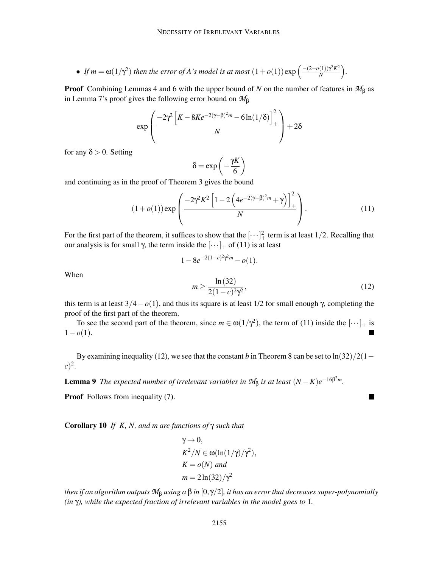• If 
$$
m = \omega(1/\gamma^2)
$$
 then the error of A's model is at most  $(1 + o(1)) \exp\left(\frac{-(2 - o(1))\gamma^2 K^2}{N}\right)$ .

Proof Combining Lemmas 4 and 6 with the upper bound of *N* on the number of features in *M*<sup>β</sup> as in Lemma 7's proof gives the following error bound on *M*<sup>β</sup>

$$
\exp\left(\frac{-2\gamma^2\left[K-8Ke^{-2(\gamma-\beta)^2m}-6\ln(1/\delta)\right]_+^2}{N}\right)+2\delta
$$

for any  $\delta > 0$ . Setting

$$
\delta = \exp\left(-\frac{\gamma K}{6}\right)
$$

and continuing as in the proof of Theorem 3 gives the bound

$$
(1+o(1))\exp\left(\frac{-2\gamma^2K^2\left[1-2\left(4e^{-2(\gamma-\beta)^2m}+\gamma\right)\right]_+^2}{N}\right).
$$
\n(11)

For the first part of the theorem, it suffices to show that the  $[\cdots]_+^2$  term is at least 1/2. Recalling that our analysis is for small γ, the term inside the  $[\cdots]_+$  of (11) is at least

$$
1 - 8e^{-2(1-c)^2\gamma^2 m} - o(1).
$$

When

$$
m \ge \frac{\ln(32)}{2(1-c)^2 \gamma^2},\tag{12}
$$

п

this term is at least  $3/4 - o(1)$ , and thus its square is at least 1/2 for small enough  $\gamma$ , completing the proof of the first part of the theorem.

To see the second part of the theorem, since  $m \in \omega(1/\gamma^2)$ , the term of (11) inside the  $[\cdots]_+$  is  $1-o(1)$ .

By examining inequality (12), we see that the constant *b* in Theorem 8 can be set to  $\ln(32)/2(1-\frac{1}{2})$  $(c)^2$ .

**Lemma 9** *The expected number of irrelevant variables in*  $M_{\beta}$  *is at least*  $(N - K)e^{-16\beta^2 m}$ *.* 

**Proof** Follows from inequality (7).

Corollary 10 *If K, N, and m are functions of* γ *such that*

$$
\gamma \to 0,
$$
  
\n
$$
K^2/N \in \omega(\ln(1/\gamma)/\gamma^2),
$$
  
\n
$$
K = o(N) \text{ and}
$$
  
\n
$$
m = 2\ln(32)/\gamma^2
$$

*then if an algorithm outputs*  $M_\beta$  *using a*  $\beta$  *in*  $[0, \gamma/2]$ *, it has an error that decreases super-polynomially (in* γ*), while the expected fraction of irrelevant variables in the model goes to* 1*.*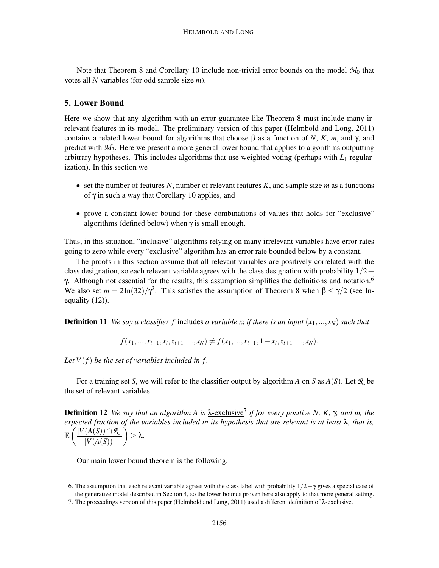Note that Theorem 8 and Corollary 10 include non-trivial error bounds on the model  $M_0$  that votes all *N* variables (for odd sample size *m*).

## 5. Lower Bound

Here we show that any algorithm with an error guarantee like Theorem 8 must include many irrelevant features in its model. The preliminary version of this paper (Helmbold and Long, 2011) contains a related lower bound for algorithms that choose β as a function of *N*, *K*, *m*, and γ, and predict with *M*β. Here we present a more general lower bound that applies to algorithms outputting arbitrary hypotheses. This includes algorithms that use weighted voting (perhaps with *L*<sup>1</sup> regularization). In this section we

- $\bullet$  set the number of features *N*, number of relevant features *K*, and sample size *m* as a functions of  $γ$  in such a way that Corollary 10 applies, and
- prove a constant lower bound for these combinations of values that holds for "exclusive" algorithms (defined below) when  $\gamma$  is small enough.

Thus, in this situation, "inclusive" algorithms relying on many irrelevant variables have error rates going to zero while every "exclusive" algorithm has an error rate bounded below by a constant.

The proofs in this section assume that all relevant variables are positively correlated with the class designation, so each relevant variable agrees with the class designation with probability  $1/2+$ γ. Although not essential for the results, this assumption simplifies the definitions and notation.<sup>6</sup> We also set  $m = 2\ln(32)/\gamma^2$ . This satisfies the assumption of Theorem 8 when  $\beta \leq \gamma/2$  (see Inequality (12)).

Definition 11 *We say a classifier f* includes *a variable x<sup>i</sup> if there is an input* (*x*1,..., *xN*) *such that*

 $f(x_1, ..., x_{i-1}, x_i, x_{i+1}, ..., x_N) \neq f(x_1, ..., x_{i-1}, 1-x_i, x_{i+1}, ..., x_N).$ 

Let  $V(f)$  be the set of variables included in f.

For a training set *S*, we will refer to the classifier output by algorithm *A* on *S* as *A*(*S*). Let *R* be the set of relevant variables.

Definition 12 *We say that an algorithm A is* λ-exclusive<sup>7</sup> *if for every positive N, K,* γ*, and m, the expected fraction of the variables included in its hypothesis that are relevant is at least* λ*, that is,*  $\mathbb{E}\left(\frac{|V(A(S))\cap \mathcal{R}|}{|V(A(S))|}\right)$  $|V(A(S))|$  $\bigg) \geq \lambda.$ 

Our main lower bound theorem is the following.

<sup>6.</sup> The assumption that each relevant variable agrees with the class label with probability  $1/2 + \gamma$  gives a special case of the generative model described in Section 4, so the lower bounds proven here also apply to that more general setting.

<sup>7.</sup> The proceedings version of this paper (Helmbold and Long, 2011) used a different definition of  $\lambda$ -exclusive.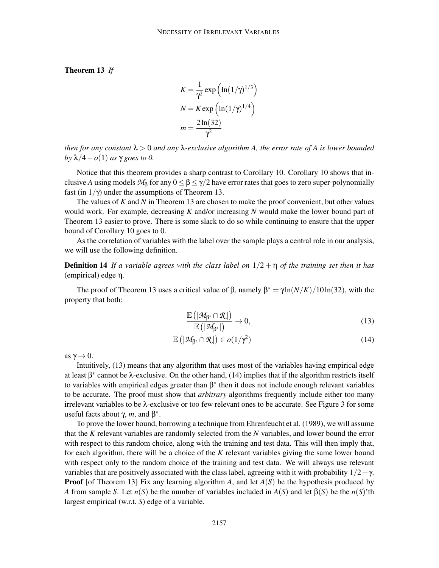Theorem 13 *If*

$$
K = \frac{1}{\gamma^2} \exp\left(\ln(1/\gamma)^{1/3}\right)
$$

$$
N = K \exp\left(\ln(1/\gamma)^{1/4}\right)
$$

$$
m = \frac{2\ln(32)}{\gamma^2}
$$

*then for any constant* λ > 0 *and any* λ*-exclusive algorithm A, the error rate of A is lower bounded by*  $\lambda/4$  – *o*(1) *as* γ *goes to* 0.

Notice that this theorem provides a sharp contrast to Corollary 10. Corollary 10 shows that inclusive *A* using models  $M_\beta$  for any  $0 \leq \beta \leq \gamma/2$  have error rates that goes to zero super-polynomially fast (in  $1/\gamma$ ) under the assumptions of Theorem 13.

The values of *K* and *N* in Theorem 13 are chosen to make the proof convenient, but other values would work. For example, decreasing *K* and/or increasing *N* would make the lower bound part of Theorem 13 easier to prove. There is some slack to do so while continuing to ensure that the upper bound of Corollary 10 goes to 0.

As the correlation of variables with the label over the sample plays a central role in our analysis, we will use the following definition.

Definition 14 *If a variable agrees with the class label on* 1/2 + η *of the training set then it has* (empirical) edge η*.*

The proof of Theorem 13 uses a critical value of β, namely  $β^* = γ ln(N/K)/10 ln(32)$ , with the property that both:

$$
\frac{\mathbb{E}\left(|\mathcal{M}_{\beta^*} \cap \mathcal{R}| \right)}{\mathbb{E}\left(|\mathcal{M}_{\beta^*}| \right)} \to 0, \tag{13}
$$

$$
\mathbb{E}\left(|\mathcal{M}_{\beta^*} \cap \mathcal{R}| \right) \in o(1/\gamma^2)
$$
\n(14)

as  $\gamma \rightarrow 0$ .

Intuitively, (13) means that any algorithm that uses most of the variables having empirical edge at least  $\beta^*$  cannot be  $\lambda$ -exclusive. On the other hand, (14) implies that if the algorithm restricts itself to variables with empirical edges greater than  $\beta^*$  then it does not include enough relevant variables to be accurate. The proof must show that *arbitrary* algorithms frequently include either too many irrelevant variables to be λ-exclusive or too few relevant ones to be accurate. See Figure 3 for some useful facts about  $\gamma$ , *m*, and  $\beta^*$ .

To prove the lower bound, borrowing a technique from Ehrenfeucht et al. (1989), we will assume that the *K* relevant variables are randomly selected from the *N* variables, and lower bound the error with respect to this random choice, along with the training and test data. This will then imply that, for each algorithm, there will be a choice of the *K* relevant variables giving the same lower bound with respect only to the random choice of the training and test data. We will always use relevant variables that are positively associated with the class label, agreeing with it with probability  $1/2 + \gamma$ . **Proof** [of Theorem 13] Fix any learning algorithm *A*, and let  $A(S)$  be the hypothesis produced by *A* from sample *S*. Let *n*(*S*) be the number of variables included in  $A(S)$  and let  $\beta(S)$  be the *n*(*S*)'th largest empirical (w.r.t. *S*) edge of a variable.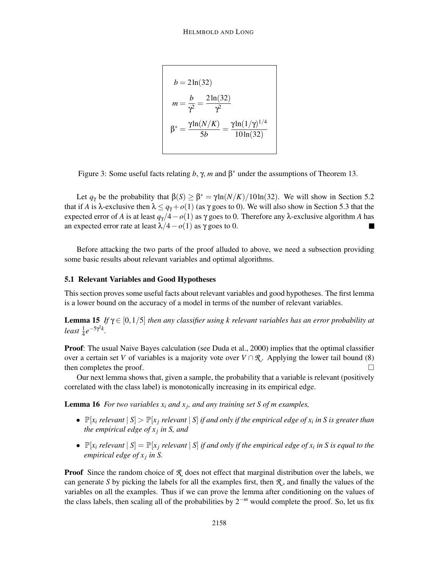$b = 2\ln(32)$  $m = \frac{b}{a^2}$  $\frac{b}{\gamma^2} = \frac{2\ln(32)}{\gamma^2}$  $\gamma^2$  $\beta^* = \frac{\gamma \ln(N/K)}{\epsilon}$  $\frac{(N/K)}{5b} = \frac{\gamma \ln(1/\gamma)^{1/4}}{10 \ln(32)}$ 10ln(32)

Figure 3: Some useful facts relating  $b$ ,  $\gamma$ ,  $m$  and  $\beta^*$  under the assumptions of Theorem 13.

Let  $q_{\gamma}$  be the probability that  $\beta(S) \geq \beta^* = \gamma \ln(N/K) / 10 \ln(32)$ . We will show in Section 5.2 that if *A* is  $\lambda$ -exclusive then  $\lambda \le q_\gamma + o(1)$  (as  $\gamma$  goes to 0). We will also show in Section 5.3 that the expected error of *A* is at least  $q_{\gamma}/4 - o(1)$  as  $\gamma$  goes to 0. Therefore any  $\lambda$ -exclusive algorithm *A* has an expected error rate at least  $\lambda/4 - o(1)$  as  $\gamma$  goes to 0. an expected error rate at least  $\lambda/4 - o(1)$  as γ goes to 0.

Before attacking the two parts of the proof alluded to above, we need a subsection providing some basic results about relevant variables and optimal algorithms.

#### 5.1 Relevant Variables and Good Hypotheses

This section proves some useful facts about relevant variables and good hypotheses. The first lemma is a lower bound on the accuracy of a model in terms of the number of relevant variables.

**Lemma 15** *If*  $\gamma \in [0, 1/5]$  *then any classifier using k relevant variables has an error probability at*  $least \frac{1}{4}e^{-5\gamma^2 k}$ .

Proof: The usual Naive Bayes calculation (see Duda et al., 2000) implies that the optimal classifier over a certain set *V* of variables is a majority vote over  $V \cap \mathcal{R}$ . Applying the lower tail bound (8) then completes the proof. then completes the proof.

Our next lemma shows that, given a sample, the probability that a variable is relevant (positively correlated with the class label) is monotonically increasing in its empirical edge.

Lemma 16 *For two variables x<sup>i</sup> and x<sup>j</sup> , and any training set S of m examples,*

- $\mathbb{P}[x_i \text{ relevant} \mid S] > \mathbb{P}[x_j \text{ relevant} \mid S]$  *if and only if the empirical edge of*  $x_i$  *in S is greater than the empirical edge of x<sup>j</sup> in S, and*
- $\mathbb{P}[x_i \text{ relevant} \mid S] = \mathbb{P}[x_j \text{ relevant} \mid S]$  *if and only if the empirical edge of*  $x_i$  *in S is equal to the empirical edge of x<sup>j</sup> in S.*

**Proof** Since the random choice of  $\mathcal{R}$  does not effect that marginal distribution over the labels, we can generate *S* by picking the labels for all the examples first, then  $\mathcal{R}$ , and finally the values of the variables on all the examples. Thus if we can prove the lemma after conditioning on the values of the class labels, then scaling all of the probabilities by 2−*<sup>m</sup>* would complete the proof. So, let us fix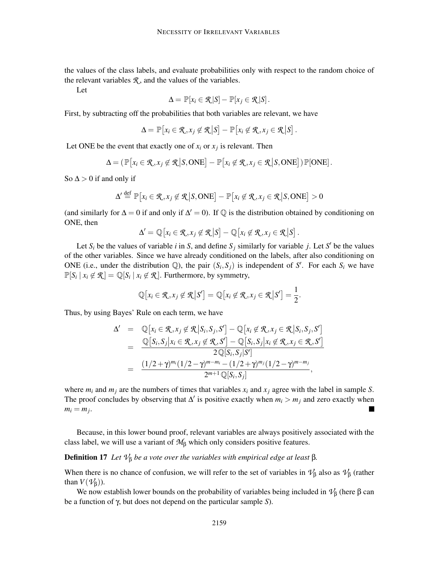the values of the class labels, and evaluate probabilities only with respect to the random choice of the relevant variables  $\mathcal{R}_1$ , and the values of the variables.

Let

$$
\Delta = \mathbb{P}[x_i \in \mathcal{R}|S] - \mathbb{P}[x_j \in \mathcal{R}|S].
$$

First, by subtracting off the probabilities that both variables are relevant, we have

$$
\Delta = \mathbb{P}\big[x_i \in \mathcal{R}, x_j \notin \mathcal{R} \big| S \big] - \mathbb{P}\big[x_i \notin \mathcal{R}, x_j \in \mathcal{R} \big| S \big].
$$

Let ONE be the event that exactly one of  $x_i$  or  $x_j$  is relevant. Then

$$
\Delta = (\mathbb{P}[x_i \in \mathcal{R}, x_j \notin \mathcal{R} | S, \text{ONE}] - \mathbb{P}[x_i \notin \mathcal{R}, x_j \in \mathcal{R} | S, \text{ONE}]) \mathbb{P}[\text{ONE}].
$$

So  $\Delta > 0$  if and only if

$$
\Delta' \stackrel{\text{def}}{=} \mathbb{P}\big[x_i \in \mathcal{R}, x_j \notin \mathcal{R} \big| S, \text{ONE}\big] - \mathbb{P}\big[x_i \notin \mathcal{R}, x_j \in \mathcal{R} \big| S, \text{ONE}\big] > 0
$$

(and similarly for  $\Delta = 0$  if and only if  $\Delta' = 0$ ). If  $\mathbb Q$  is the distribution obtained by conditioning on ONE, then

$$
\Delta' = \mathbb{Q}[x_i \in \mathcal{R}, x_j \notin \mathcal{R} | S] - \mathbb{Q}[x_i \notin \mathcal{R}, x_j \in \mathcal{R} | S].
$$

Let  $S_i$  be the values of variable *i* in *S*, and define  $S_j$  similarly for variable *j*. Let *S'* be the values of the other variables. Since we have already conditioned on the labels, after also conditioning on ONE (i.e., under the distribution  $\mathbb{Q}$ ), the pair  $(S_i, S_j)$  is independent of *S'*. For each  $S_i$  we have  $\mathbb{P}[S_i | x_i \notin \mathcal{R}] = \mathbb{Q}[S_i | x_i \notin \mathcal{R}]$ . Furthermore, by symmetry,

$$
\mathbb{Q}[x_i \in \mathcal{R}, x_j \notin \mathcal{R} | S'] = \mathbb{Q}[x_i \notin \mathcal{R}, x_j \in \mathcal{R} | S'] = \frac{1}{2}.
$$

Thus, by using Bayes' Rule on each term, we have

$$
\Delta' = \mathbb{Q}[x_i \in \mathcal{R}, x_j \notin \mathcal{R}|S_i, S_j, S'] - \mathbb{Q}[x_i \notin \mathcal{R}, x_j \in \mathcal{R}|S_i, S_j, S']
$$
  
\n
$$
= \frac{\mathbb{Q}[S_i, S_j | x_i \in \mathcal{R}, x_j \notin \mathcal{R}, S'] - \mathbb{Q}[S_i, S_j | x_i \notin \mathcal{R}, x_j \in \mathcal{R}, S']}{2\mathbb{Q}[S_i, S_j | S']}\n= \frac{(1/2 + \gamma)^{m_i}(1/2 - \gamma)^{m - m_i} - (1/2 + \gamma)^{m_j}(1/2 - \gamma)^{m - m_j}}{2^{m+1}\mathbb{Q}[S_i, S_j]},
$$

where  $m_i$  and  $m_j$  are the numbers of times that variables  $x_i$  and  $x_j$  agree with the label in sample *S*. The proof concludes by observing that  $\Delta'$  is positive exactly when  $m_i > m_j$  and zero exactly when  $m_i = m_j$ .  $\blacksquare$ 

Because, in this lower bound proof, relevant variables are always positively associated with the class label, we will use a variant of *M*<sup>β</sup> which only considers positive features.

#### **Definition 17** *Let*  $\mathcal{V}_\beta$  *be a vote over the variables with empirical edge at least* β.

When there is no chance of confusion, we will refer to the set of variables in  $\mathcal{V}_\beta$  also as  $\mathcal{V}_\beta$  (rather than  $V(\mathcal{V}_R)$ ).

We now establish lower bounds on the probability of variables being included in  $\mathcal{V}_\beta$  (here  $\beta$  can be a function of γ, but does not depend on the particular sample *S*).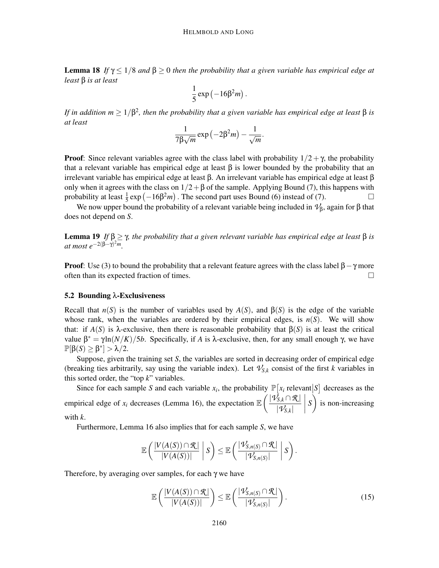**Lemma 18** *If*  $\gamma \leq 1/8$  *and*  $\beta \geq 0$  *then the probability that a given variable has empirical edge at least* β *is at least*

$$
\frac{1}{5}\exp\left(-16\beta^2m\right).
$$

*If in addition m*  $\geq 1/\beta^2$ , then the probability that a given variable has empirical edge at least  $\beta$  is *at least*

$$
\frac{1}{7\beta\sqrt{m}}\exp(-2\beta^2m)-\frac{1}{\sqrt{m}}.
$$

**Proof:** Since relevant variables agree with the class label with probability  $1/2 + \gamma$ , the probability that a relevant variable has empirical edge at least  $\beta$  is lower bounded by the probability that an irrelevant variable has empirical edge at least β. An irrelevant variable has empirical edge at least β only when it agrees with the class on  $1/2 + \beta$  of the sample. Applying Bound (7), this happens with probability at least  $\frac{1}{5}$  exp  $\left(-16\beta^2m\right)$ . The second part uses Bound (6) instead of (7).

We now upper bound the probability of a relevant variable being included in  $\mathcal{V}_\beta$ , again for β that does not depend on *S*.

**Lemma 19** *If*  $\beta > \gamma$ *, the probability that a given relevant variable has empirical edge at least*  $\beta$  *is at most e*−2(β−γ) 2*m.*

**Proof:** Use (3) to bound the probability that a relevant feature agrees with the class label  $β - γ$  more often than its expected fraction of times. often than its expected fraction of times.

#### 5.2 Bounding λ-Exclusiveness

Recall that  $n(S)$  is the number of variables used by  $A(S)$ , and  $\beta(S)$  is the edge of the variable whose rank, when the variables are ordered by their empirical edges, is  $n(S)$ . We will show that: if  $A(S)$  is λ-exclusive, then there is reasonable probability that  $\beta(S)$  is at least the critical value  $\beta^* = \gamma \ln(N/K)/5b$ . Specifically, if *A* is *λ*-exclusive, then, for any small enough  $\gamma$ , we have  $\mathbb{P}[\beta(S) \geq \beta^*] > \lambda/2.$ 

Suppose, given the training set *S*, the variables are sorted in decreasing order of empirical edge (breaking ties arbitrarily, say using the variable index). Let  $\mathcal{V}_{S,k}$  consist of the first *k* variables in this sorted order, the "top *k*" variables.

Since for each sample S and each variable  $x_i$ , the probability  $\mathbb{P}[x_i]$  relevant  $|S]$  decreases as the *S* empirical edge of *x<sub>i</sub>* decreases (Lemma 16), the expectation  $\mathbb{E}\left(\frac{|\mathbf{V}_{S,k}^{\perp} \cap \mathcal{R}|}{|\mathbf{V}_{S,k}^{\perp}|}\right)$  $|\mathcal{V}_{\textit{S},k}|$  $\begin{array}{c} \begin{array}{c} \begin{array}{c} \begin{array}{c} \end{array} \\ \end{array} \\ \begin{array}{c} \end{array} \end{array} \end{array}$ S) is non-increasing with *k*.

Furthermore, Lemma 16 also implies that for each sample *S*, we have

$$
\mathbb{E}\left(\frac{|V(A(S))\cap \mathcal{R}|}{|V(A(S))|}\middle| S\right)\leq \mathbb{E}\left(\frac{|\mathcal{V}_{S,n(S)}\cap \mathcal{R}|}{|\mathcal{V}_{S,n(S)}|}\middle| S\right).
$$

Therefore, by averaging over samples, for each  $\gamma$  we have

$$
\mathbb{E}\left(\frac{|V(A(S)) \cap \mathcal{R}|}{|V(A(S))|}\right) \leq \mathbb{E}\left(\frac{|\mathcal{V}_{S,n(S)} \cap \mathcal{R}|}{|\mathcal{V}_{S,n(S)}|}\right).
$$
\n(15)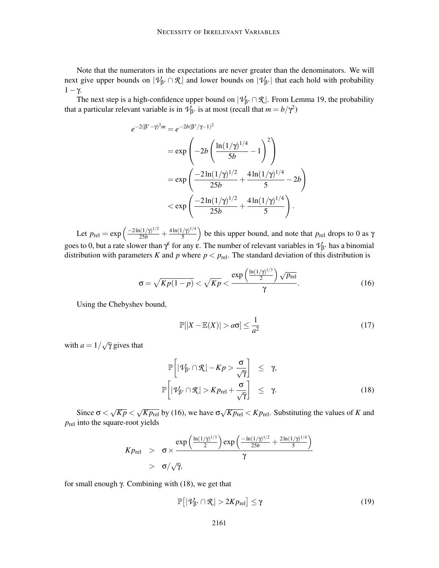Note that the numerators in the expectations are never greater than the denominators. We will next give upper bounds on  $|\mathcal{V}_{\beta^*} \cap \mathcal{R}|$  and lower bounds on  $|\mathcal{V}_{\beta^*}|$  that each hold with probability  $1-\gamma$ .

The next step is a high-confidence upper bound on  $|\mathcal{V}_{\beta^*} \cap \mathcal{R}|$ . From Lemma 19, the probability that a particular relevant variable is in  $\mathcal{V}_{\beta^*}$  is at most (recall that  $m = b/\gamma^2$ )

$$
-2(\beta^* - \gamma)^2 m = e^{-2b(\beta^*/\gamma - 1)^2}
$$
  
=  $\exp\left(-2b\left(\frac{\ln(1/\gamma)^{1/4}}{5b} - 1\right)^2\right)$   
=  $\exp\left(\frac{-2\ln(1/\gamma)^{1/2}}{25b} + \frac{4\ln(1/\gamma)^{1/4}}{5} - 2b\right)$   
<  $\exp\left(\frac{-2\ln(1/\gamma)^{1/2}}{25b} + \frac{4\ln(1/\gamma)^{1/4}}{5}\right).$ 

Let  $p_{rel} = \exp\left(\frac{-2\ln(1/\gamma)^{1/2}}{25b} + \frac{4\ln(1/\gamma)^{1/4}}{5}\right)$  $\left(\frac{\gamma}{5}\right)^{1/4}$ ) be this upper bound, and note that  $p_{rel}$  drops to 0 as  $\gamma$ goes to 0, but a rate slower than  $\gamma^{\epsilon}$  for any  $\epsilon$ . The number of relevant variables in  $\mathcal{V}_{\beta^*}$  has a binomial distribution with parameters *K* and *p* where  $p < p_{rel}$ . The standard deviation of this distribution is

$$
\sigma = \sqrt{Kp(1-p)} < \sqrt{Kp} < \frac{\exp\left(\frac{\ln(1/\gamma)^{1/3}}{2}\right)\sqrt{p_{\text{rel}}}}{\gamma}.\tag{16}
$$

Using the Chebyshev bound,

*e*

$$
\mathbb{P}[|X - \mathbb{E}(X)| > a\sigma] \le \frac{1}{a^2} \tag{17}
$$

with  $a = 1/\sqrt{\gamma}$  gives that

$$
\mathbb{P}\left[|\mathcal{V}_{\beta^*} \cap \mathcal{R}| - Kp > \frac{\sigma}{\sqrt{\gamma}}\right] \leq \gamma, \\
\mathbb{P}\left[|\mathcal{V}_{\beta^*} \cap \mathcal{R}| > Kp_{\text{rel}} + \frac{\sigma}{\sqrt{\gamma}}\right] \leq \gamma. \tag{18}
$$

Since  $\sigma < \sqrt{Kp} < \sqrt{Kp_{rel}}$  by (16), we have  $\sigma \sqrt{Kp_{rel}} < Kp_{rel}$ . Substituting the values of *K* and *p*rel into the square-root yields

$$
K p_{\text{rel}} > \sigma \times \frac{\exp\left(\frac{\ln(1/\gamma)^{1/3}}{2}\right) \exp\left(\frac{-\ln(1/\gamma)^{1/2}}{25b} + \frac{2\ln(1/\gamma)^{1/4}}{5}\right)}{\gamma}
$$
  
>  $\sigma/\sqrt{\gamma}$ ,

for small enough γ. Combining with (18), we get that

$$
\mathbb{P}\big[|\mathcal{V}_{\beta^*} \cap \mathcal{R}| > 2K p_{\text{rel}}\big] \le \gamma \tag{19}
$$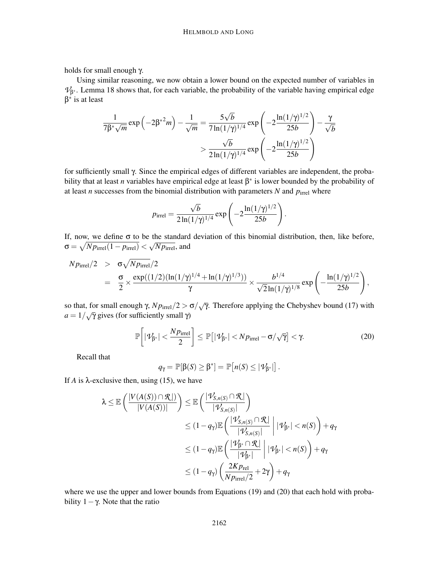holds for small enough γ.

Using similar reasoning, we now obtain a lower bound on the expected number of variables in  $\mathcal{V}_{\beta^*}$ . Lemma 18 shows that, for each variable, the probability of the variable having empirical edge β ∗ is at least

$$
\frac{1}{7\beta^* \sqrt{m}} \exp\left(-2\beta^{*2}m\right) - \frac{1}{\sqrt{m}} = \frac{5\sqrt{b}}{7\ln(1/\gamma)^{1/4}} \exp\left(-2\frac{\ln(1/\gamma)^{1/2}}{25b}\right) - \frac{\gamma}{\sqrt{b}}
$$

$$
> \frac{\sqrt{b}}{2\ln(1/\gamma)^{1/4}} \exp\left(-2\frac{\ln(1/\gamma)^{1/2}}{25b}\right)
$$

for sufficiently small γ. Since the empirical edges of different variables are independent, the probability that at least *n* variables have empirical edge at least  $\beta^*$  is lower bounded by the probability of at least *n* successes from the binomial distribution with parameters  $N$  and  $p<sub>irrel</sub>$  where

$$
p_{\text{irrel}} = \frac{\sqrt{b}}{2\ln(1/\gamma)^{1/4}} \exp\left(-2\frac{\ln(1/\gamma)^{1/2}}{25b}\right).
$$

If, now, we define  $\sigma$  to be the standard deviation of this binomial distribution, then, like before,  $\sigma = \sqrt{N p_{\text{irrel}}(1-p_{\text{irrel}})} < \sqrt{N p_{\text{irrel}}},$  and

$$
Np_{\text{irrel}}/2 > \sigma \sqrt{Np_{\text{irrel}}}/2
$$
  
=  $\frac{\sigma}{2} \times \frac{\exp((1/2)(\ln(1/\gamma)^{1/4} + \ln(1/\gamma)^{1/3}))}{\gamma} \times \frac{b^{1/4}}{\sqrt{2}\ln(1/\gamma)^{1/8}} \exp\left(-\frac{\ln(1/\gamma)^{1/2}}{25b}\right),$ 

so that, for small enough  $\gamma$ ,  $N p_{\text{irrel}} / 2 > \sigma / \sqrt{\gamma}$ . Therefore applying the Chebyshev bound (17) with  $a = 1/\sqrt{\gamma}$  gives (for sufficiently small  $\gamma$ )

$$
\mathbb{P}\bigg[|\mathcal{V}_{\beta^*}| < \frac{Np_{\text{irrel}}}{2}\bigg] \le \mathbb{P}\big[|\mathcal{V}_{\beta^*}| < Np_{\text{irrel}} - \sigma/\sqrt{\gamma}\big] < \gamma. \tag{20}
$$

Recall that

$$
q_{\gamma} = \mathbb{P}[\beta(S) \geq \beta^*] = \mathbb{P}[n(S) \leq |\mathcal{V}_{\beta^*}|].
$$

If  $A$  is  $\lambda$ -exclusive then, using (15), we have

$$
\lambda \leq \mathbb{E}\left(\frac{|V(A(S)) \cap \mathcal{R}|}{|V(A(S))|}\right) \leq \mathbb{E}\left(\frac{|\mathcal{V}_{S,n(S)} \cap \mathcal{R}|}{|\mathcal{V}_{S,n(S)}|}\right)
$$
  

$$
\leq (1-q_{\gamma})\mathbb{E}\left(\frac{|\mathcal{V}_{S,n(S)} \cap \mathcal{R}|}{|\mathcal{V}_{S,n(S)}|}\middle| |\mathcal{V}_{\beta^*}| < n(S)\right) + q_{\gamma}
$$
  

$$
\leq (1-q_{\gamma})\mathbb{E}\left(\frac{|\mathcal{V}_{\beta^*} \cap \mathcal{R}|}{|\mathcal{V}_{\beta^*}|}\middle| |\mathcal{V}_{\beta^*}| < n(S)\right) + q_{\gamma}
$$
  

$$
\leq (1-q_{\gamma})\left(\frac{2Kp_{\text{rel}}}{Np_{\text{irrel}}/2} + 2\gamma\right) + q_{\gamma}
$$

where we use the upper and lower bounds from Equations (19) and (20) that each hold with probability  $1 - \gamma$ . Note that the ratio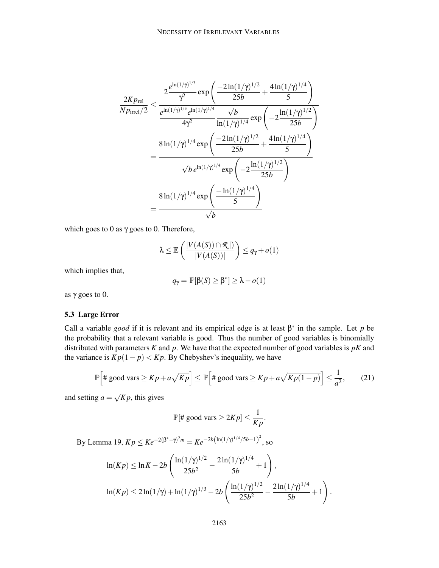$$
\frac{2Kp_{\text{rel}}}{Np_{\text{irrel}}/2} \leq \frac{2\frac{e^{\ln(1/\gamma)^{1/3}}}{\gamma^2} \exp\left(\frac{-2\ln(1/\gamma)^{1/2}}{25b} + \frac{4\ln(1/\gamma)^{1/4}}{5}\right)}{4\gamma^2} \n= \frac{8\ln(1/\gamma)^{1/4} \exp\left(-2\frac{\ln(1/\gamma)^{1/2}}{25b}\right)}{\sqrt{b}e^{\ln(1/\gamma)^{1/4}} \exp\left(-2\frac{\ln(1/\gamma)^{1/4}}{25b}\right)} \n= \frac{8\ln(1/\gamma)^{1/4} \exp\left(\frac{-2\ln(1/\gamma)^{1/2}}{25b} + \frac{4\ln(1/\gamma)^{1/4}}{5}\right)}{\sqrt{b}e^{\ln(1/\gamma)^{1/4}} \exp\left(-2\frac{\ln(1/\gamma)^{1/2}}{25b}\right)} \n= \frac{8\ln(1/\gamma)^{1/4} \exp\left(\frac{-\ln(1/\gamma)^{1/4}}{5}\right)}{\sqrt{b}}
$$

which goes to 0 as  $\gamma$  goes to 0. Therefore,

$$
\lambda \leq \mathbb{E}\left(\frac{|V(A(S)) \cap \mathcal{R}|)}{|V(A(S))|}\right) \leq q_{\gamma} + o(1)
$$

which implies that,

$$
q_{\gamma} = \mathbb{P}[\beta(S) \ge \beta^*] \ge \lambda - o(1)
$$

as  $γ$  goes to 0.

### 5.3 Large Error

Call a variable *good* if it is relevant and its empirical edge is at least  $\beta^*$  in the sample. Let *p* be the probability that a relevant variable is good. Thus the number of good variables is binomially distributed with parameters *K* and *p*. We have that the expected number of good variables is *pK* and the variance is  $\overline{Kp}(1-p) < Kp$ . By Chebyshev's inequality, we have

$$
\mathbb{P}\Big[\#\text{ good vars}\geq Kp+a\sqrt{Kp}\Big]\leq \mathbb{P}\Big[\#\text{ good vars}\geq Kp+a\sqrt{Kp(1-p)}\Big]\leq \frac{1}{a^2},\qquad(21)
$$

and setting  $a = \sqrt{Kp}$ , this gives

$$
\mathbb{P}[\text{# good vars} \geq 2Kp] \leq \frac{1}{Kp}.
$$

By Lemma 19,  $Kp \leq Ke^{-2(\beta^*-\gamma)^2m} = Ke^{-2b(\ln(1/\gamma)^{1/4}/5b-1)^2}$ , so

$$
\ln(Kp) \le \ln K - 2b \left( \frac{\ln(1/\gamma)^{1/2}}{25b^2} - \frac{2\ln(1/\gamma)^{1/4}}{5b} + 1 \right),
$$
  

$$
\ln(Kp) \le 2\ln(1/\gamma) + \ln(1/\gamma)^{1/3} - 2b \left( \frac{\ln(1/\gamma)^{1/2}}{25b^2} - \frac{2\ln(1/\gamma)^{1/4}}{5b} + 1 \right).
$$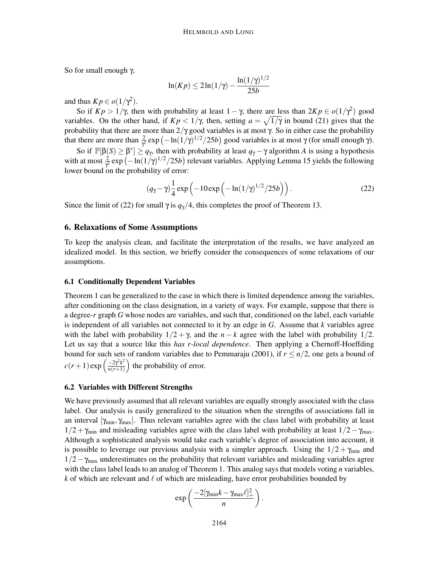So for small enough γ,

$$
\ln(Kp) \le 2\ln(1/\gamma) - \frac{\ln(1/\gamma)^{1/2}}{25b}
$$

and thus  $K p \in o(1/\gamma^2)$ .

So if  $K p > 1/\gamma$ , then with probability at least  $1 - \gamma$ , there are less than  $2K p \in o(1/\gamma^2)$  good variables. On the other hand, if  $Kp < 1/\gamma$ , then, setting  $a = \sqrt{1/\gamma}$  in bound (21) gives that the probability that there are more than  $2/\gamma$  good variables is at most  $\gamma$ . So in either case the probability that there are more than  $\frac{2}{\gamma^2}$  exp  $\left(-\ln(1/\gamma)^{1/2}/25b\right)$  good variables is at most γ (for small enough γ).

So if  $\mathbb{P}[\beta(S) \geq \beta^*] \geq q_\gamma$ , then with probability at least  $q_\gamma - \gamma$  algorithm *A* is using a hypothesis with at most  $\frac{2}{\gamma^2}$  exp  $\left(-\ln(1/\gamma)^{1/2}/25b\right)$  relevant variables. Applying Lemma 15 yields the following lower bound on the probability of error:

$$
(q_{\gamma} - \gamma) \frac{1}{4} \exp\left(-10 \exp\left(-\ln(1/\gamma)^{1/2}/25b\right)\right). \tag{22}
$$

Since the limit of (22) for small  $\gamma$  is  $q_{\gamma}/4$ , this completes the proof of Theorem 13.

#### 6. Relaxations of Some Assumptions

To keep the analysis clean, and facilitate the interpretation of the results, we have analyzed an idealized model. In this section, we briefly consider the consequences of some relaxations of our assumptions.

#### 6.1 Conditionally Dependent Variables

Theorem 1 can be generalized to the case in which there is limited dependence among the variables, after conditioning on the class designation, in a variety of ways. For example, suppose that there is a degree-*r* graph *G* whose nodes are variables, and such that, conditioned on the label, each variable is independent of all variables not connected to it by an edge in *G*. Assume that *k* variables agree with the label with probability  $1/2 + \gamma$ , and the *n* − *k* agree with the label with probability  $1/2$ . Let us say that a source like this *has r-local dependence*. Then applying a Chernoff-Hoeffding bound for such sets of random variables due to Pemmaraju (2001), if  $r \leq n/2$ , one gets a bound of  $c(r+1)\exp\left(\frac{-2\gamma^2k^2}{n(r+1)}\right)$  $\frac{-2\gamma^2 k^2}{n(r+1)}$  the probability of error.

#### 6.2 Variables with Different Strengths

We have previously assumed that all relevant variables are equally strongly associated with the class label. Our analysis is easily generalized to the situation when the strengths of associations fall in an interval  $[\gamma_{min}, \gamma_{max}]$ . Thus relevant variables agree with the class label with probability at least  $1/2 + \gamma_{\text{min}}$  and misleading variables agree with the class label with probability at least  $1/2 - \gamma_{\text{max}}$ . Although a sophisticated analysis would take each variable's degree of association into account, it is possible to leverage our previous analysis with a simpler approach. Using the  $1/2 + \gamma_{\text{min}}$  and  $1/2 - \gamma_{\text{max}}$  underestimates on the probability that relevant variables and misleading variables agree with the class label leads to an analog of Theorem 1. This analog says that models voting *n* variables, *k* of which are relevant and  $\ell$  of which are misleading, have error probabilities bounded by

$$
\exp\left(\frac{-2[\gamma_{\min}k-\gamma_{\max}\ell]_+^2}{n}\right).
$$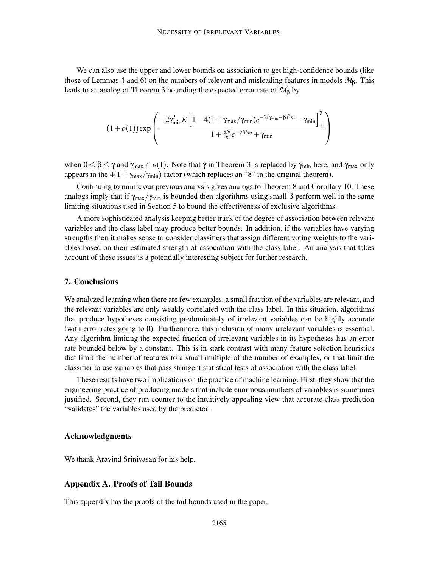We can also use the upper and lower bounds on association to get high-confidence bounds (like those of Lemmas 4 and 6) on the numbers of relevant and misleading features in models *M*β. This leads to an analog of Theorem 3 bounding the expected error rate of *M*<sup>β</sup> by

$$
(1+o(1)) \exp \left(\frac{-2\gamma_{\min}^2 K \left[1-4(1+\gamma_{\max}/\gamma_{\min})e^{-2(\gamma_{\min}-\beta)^2 m}-\gamma_{\min}\right]_+^2}{1+\frac{8N}{K}e^{-2\beta^2 m}+\gamma_{\min}}\right)
$$

when  $0 \leq \beta \leq \gamma$  and  $\gamma_{\text{max}} \in o(1)$ . Note that  $\gamma$  in Theorem 3 is replaced by  $\gamma_{\text{min}}$  here, and  $\gamma_{\text{max}}$  only appears in the  $4(1+\gamma_{\text{max}}/\gamma_{\text{min}})$  factor (which replaces an "8" in the original theorem).

Continuing to mimic our previous analysis gives analogs to Theorem 8 and Corollary 10. These analogs imply that if  $\gamma_{max}/\gamma_{min}$  is bounded then algorithms using small  $\beta$  perform well in the same limiting situations used in Section 5 to bound the effectiveness of exclusive algorithms.

A more sophisticated analysis keeping better track of the degree of association between relevant variables and the class label may produce better bounds. In addition, if the variables have varying strengths then it makes sense to consider classifiers that assign different voting weights to the variables based on their estimated strength of association with the class label. An analysis that takes account of these issues is a potentially interesting subject for further research.

#### 7. Conclusions

We analyzed learning when there are few examples, a small fraction of the variables are relevant, and the relevant variables are only weakly correlated with the class label. In this situation, algorithms that produce hypotheses consisting predominately of irrelevant variables can be highly accurate (with error rates going to 0). Furthermore, this inclusion of many irrelevant variables is essential. Any algorithm limiting the expected fraction of irrelevant variables in its hypotheses has an error rate bounded below by a constant. This is in stark contrast with many feature selection heuristics that limit the number of features to a small multiple of the number of examples, or that limit the classifier to use variables that pass stringent statistical tests of association with the class label.

These results have two implications on the practice of machine learning. First, they show that the engineering practice of producing models that include enormous numbers of variables is sometimes justified. Second, they run counter to the intuitively appealing view that accurate class prediction "validates" the variables used by the predictor.

#### Acknowledgments

We thank Aravind Srinivasan for his help.

### Appendix A. Proofs of Tail Bounds

This appendix has the proofs of the tail bounds used in the paper.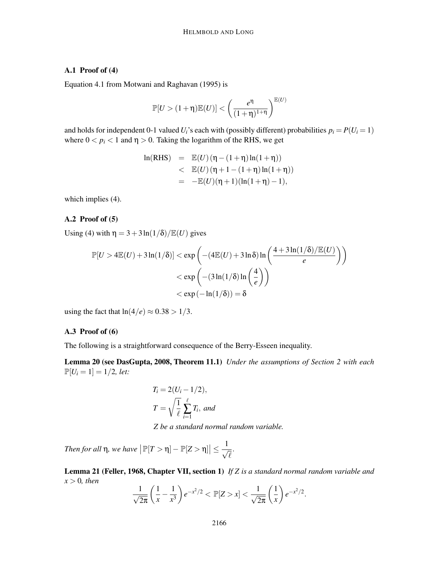## A.1 Proof of (4)

Equation 4.1 from Motwani and Raghavan (1995) is

$$
\mathbb{P}[U > (1+\eta)\mathbb{E}(U)] < \left(\frac{e^{\eta}}{(1+\eta)^{1+\eta}}\right)^{\mathbb{E}(U)}
$$

and holds for independent 0-1 valued  $U_i$ 's each with (possibly different) probabilities  $p_i = P(U_i = 1)$ where  $0 < p_i < 1$  and  $\eta > 0$ . Taking the logarithm of the RHS, we get

ln(RHS) = E(U) (η – (1+η)ln(1+η))  
\n
$$
E(U) (η + 1 – (1+η)ln(1+η))\n= -E(U) (η + 1) (ln(1+η) – 1),
$$

which implies (4).

### A.2 Proof of (5)

Using (4) with  $\eta = 3 + 3\ln(1/\delta)/\mathbb{E}(U)$  gives

$$
\mathbb{P}[U > 4\mathbb{E}(U) + 3\ln(1/\delta)] < \exp\left(-(4\mathbb{E}(U) + 3\ln\delta)\ln\left(\frac{4+3\ln(1/\delta)/\mathbb{E}(U)}{e}\right)\right)
$$
  
< 
$$
< \exp\left(-(3\ln(1/\delta)\ln\left(\frac{4}{e}\right)\right)
$$
  
< 
$$
< \exp(-\ln(1/\delta)) = \delta
$$

using the fact that  $ln(4/e) \approx 0.38 > 1/3$ .

#### A.3 Proof of (6)

The following is a straightforward consequence of the Berry-Esseen inequality.

Lemma 20 (see DasGupta, 2008, Theorem 11.1) *Under the assumptions of Section 2 with each*  $\mathbb{P}[U_i = 1] = 1/2$ , *let:* 

$$
T_i = 2(U_i - 1/2),
$$
  

$$
T = \sqrt{\frac{1}{\ell}} \sum_{i=1}^{\ell} T_i
$$
, and

*Z be a standard normal random variable.*

*Then for all* η, we have  $\left| \mathbb{P}[T > η] - \mathbb{P}[Z > η] \right|$  ≤ 1  $\overline{\sqrt{\ell}}$ .

Lemma 21 (Feller, 1968, Chapter VII, section 1) *If Z is a standard normal random variable and*  $x > 0$ *, then* 

$$
\frac{1}{\sqrt{2\pi}}\left(\frac{1}{x}-\frac{1}{x^3}\right)e^{-x^2/2} < \mathbb{P}[Z>x] < \frac{1}{\sqrt{2\pi}}\left(\frac{1}{x}\right)e^{-x^2/2}.
$$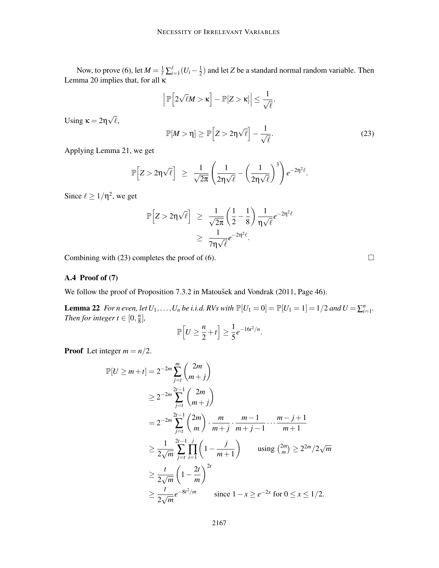Now, to prove (6), let  $M = \frac{1}{\ell} \sum_{i=1}^{\ell} (U_i - \frac{1}{2})$  $\frac{1}{2}$ ) and let *Z* be a standard normal random variable. Then Lemma 20 implies that, for all κ

$$
\left|\mathbb{P}\Big[2\sqrt{\ell}M>\kappa\Big]-\mathbb{P}[Z>\kappa]\right|\leq\frac{1}{\sqrt{\ell}}.
$$

Using  $\kappa = 2\eta \sqrt{\ell}$ ,

 $\mathbb{P}[M > \eta] \ge \mathbb{P}\Big[Z > 2\eta\sqrt{\ell}\Big] -$ 1  $\overline{\sqrt{\ell}}$ . (23)

Applying Lemma 21, we get

$$
\mathbb{P}\Big[Z > 2\eta\sqrt{\ell}\Big] \ \geq \ \frac{1}{\sqrt{2\pi}}\left(\frac{1}{2\eta\sqrt{\ell}} - \left(\frac{1}{2\eta\sqrt{\ell}}\right)^3\right)e^{-2\eta^2\ell}.
$$

Since  $\ell \geq 1/\eta^2$ , we get

$$
\mathbb{P}\Big[Z > 2\eta\sqrt{\ell}\Big] \geq \frac{1}{\sqrt{2\pi}} \left(\frac{1}{2} - \frac{1}{8}\right) \frac{1}{\eta\sqrt{\ell}} e^{-2\eta^2 \ell}
$$

$$
\geq \frac{1}{7\eta\sqrt{\ell}} e^{-2\eta^2 \ell}.
$$

Combining with (23) completes the proof of (6).  $\Box$ 

## A.4 Proof of (7)

We follow the proof of Proposition 7.3.2 in Matoušek and Vondrak (2011, Page 46).

**Lemma 22** *For n even, let*  $U_1, ..., U_n$  *be i.i.d. RVs with*  $\mathbb{P}[U_1 = 0] = \mathbb{P}[U_1 = 1] = 1/2$  *and*  $U = \sum_{i=1}^n$ . *Then for integer*  $t \in [0, \frac{n}{8}]$  $\frac{n}{8}$ ,

$$
\mathbb{P}\Big[U\geq \frac{n}{2}+t\Big]\geq \frac{1}{5}e^{-16t^2/n}.
$$

**Proof** Let integer  $m = n/2$ .

$$
\mathbb{P}[U \ge m+t] = 2^{-2m} \sum_{j=t}^{m} {2m \choose m+j}
$$
  
\n
$$
\ge 2^{-2m} \sum_{j=t}^{2t-1} {2m \choose m+j}
$$
  
\n
$$
= 2^{-2m} \sum_{j=t}^{2t-1} {2m \choose m} \cdot \frac{m}{m+j} \cdot \frac{m-1}{m+j-1} \cdots \frac{m-j+1}{m+1}
$$
  
\n
$$
\ge \frac{1}{2\sqrt{m}} \sum_{j=t}^{2t-1} \prod_{i=1}^{j} \left(1 - \frac{j}{m+1}\right) \quad \text{using } {2m \choose m} \ge 2^{2m}/2\sqrt{m}
$$
  
\n
$$
\ge \frac{t}{2\sqrt{m}} \left(1 - \frac{2t}{m}\right)^{2t}
$$
  
\n
$$
\ge \frac{t}{2\sqrt{m}} e^{-8t^2/m} \quad \text{since } 1 - x \ge e^{-2x} \text{ for } 0 \le x \le 1/2.
$$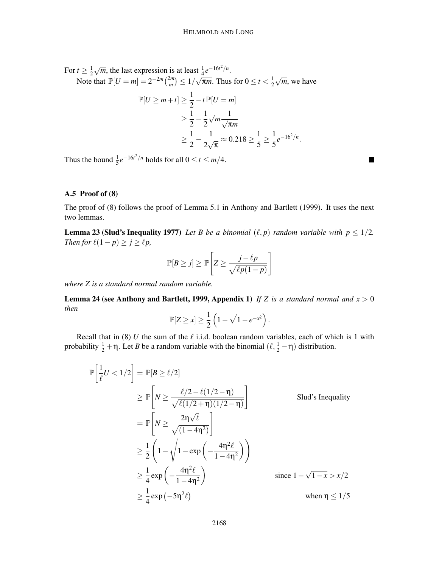For  $t \geq \frac{1}{2}$  $\frac{1}{2}\sqrt{m}$ , the last expression is at least  $\frac{1}{4}e^{-16t^2/n}$ .

Note that  $\mathbb{P}[U = m] = 2^{-2m} \binom{2m}{m}$  $\binom{2m}{m} \leq 1/\sqrt{\pi m}$ . Thus for  $0 \leq t < \frac{1}{2}$  $\frac{1}{2}\sqrt{m}$ , we have

$$
\mathbb{P}[U \ge m+t] \ge \frac{1}{2} - t \mathbb{P}[U=m] \ge \frac{1}{2} - \frac{1}{2} \sqrt{m} \frac{1}{\sqrt{\pi m}} \ge \frac{1}{2} - \frac{1}{2\sqrt{\pi}} \approx 0.218 \ge \frac{1}{5} \ge \frac{1}{5} e^{-16^2/n}.
$$

Thus the bound  $\frac{1}{5}e^{-16t^2/n}$  holds for all  $0 \le t \le m/4$ .

### A.5 Proof of (8)

The proof of (8) follows the proof of Lemma 5.1 in Anthony and Bartlett (1999). It uses the next two lemmas.

**Lemma 23 (Slud's Inequality 1977)** *Let B be a binomial*  $(\ell, p)$  *random variable with*  $p \leq 1/2$ *. Then for*  $\ell(1-p) \ge j \ge \ell p$ ,

$$
\mathbb{P}[B \ge j] \ge \mathbb{P}\left[Z \ge \frac{j-\ell p}{\sqrt{\ell p(1-p)}}\right]
$$

*where Z is a standard normal random variable.*

Lemma 24 (see Anthony and Bartlett, 1999, Appendix 1) *If Z is a standard normal and x* > 0 *then*

$$
\mathbb{P}[Z \geq x] \geq \frac{1}{2} \left( 1 - \sqrt{1 - e^{-x^2}} \right).
$$

Recall that in (8)  $U$  the sum of the  $\ell$  i.i.d. boolean random variables, each of which is 1 with probability  $\frac{1}{2} + \eta$ . Let *B* be a random variable with the binomial  $(\ell, \frac{1}{2} - \eta)$  distribution.

$$
\mathbb{P}\left[\frac{1}{\ell}U < 1/2\right] = \mathbb{P}[B \ge \ell/2]
$$
\n
$$
\ge \mathbb{P}\left[N \ge \frac{\ell/2 - \ell(1/2 - \eta)}{\sqrt{\ell(1/2 + \eta)(1/2 - \eta)}}\right]
$$
\nSInd's Inequality

\n
$$
= \mathbb{P}\left[N \ge \frac{2\eta\sqrt{\ell}}{\sqrt{(1 - 4\eta^2)}}\right]
$$
\n
$$
\ge \frac{1}{2}\left(1 - \sqrt{1 - \exp\left(-\frac{4\eta^2\ell}{1 - 4\eta^2}\right)}\right)
$$
\n
$$
\ge \frac{1}{4}\exp\left(-\frac{4\eta^2\ell}{1 - 4\eta^2}\right)
$$
\nsince  $1 - \sqrt{1 - x} > x/2$ 

\n
$$
\ge \frac{1}{4}\exp\left(-5\eta^2\ell\right)
$$
\nwhen  $\eta \le 1/5$ 

П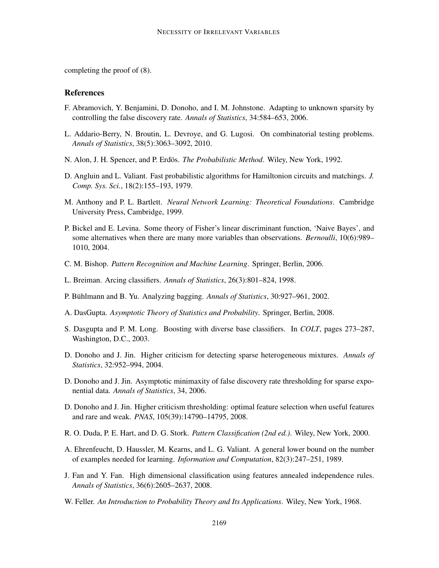completing the proof of (8).

### **References**

- F. Abramovich, Y. Benjamini, D. Donoho, and I. M. Johnstone. Adapting to unknown sparsity by controlling the false discovery rate. *Annals of Statistics*, 34:584–653, 2006.
- L. Addario-Berry, N. Broutin, L. Devroye, and G. Lugosi. On combinatorial testing problems. *Annals of Statistics*, 38(5):3063–3092, 2010.
- N. Alon, J. H. Spencer, and P. Erdös. *The Probabilistic Method*. Wiley, New York, 1992.
- D. Angluin and L. Valiant. Fast probabilistic algorithms for Hamiltonion circuits and matchings. *J. Comp. Sys. Sci.*, 18(2):155–193, 1979.
- M. Anthony and P. L. Bartlett. *Neural Network Learning: Theoretical Foundations*. Cambridge University Press, Cambridge, 1999.
- P. Bickel and E. Levina. Some theory of Fisher's linear discriminant function, 'Naive Bayes', and some alternatives when there are many more variables than observations. *Bernoulli*, 10(6):989– 1010, 2004.
- C. M. Bishop. *Pattern Recognition and Machine Learning*. Springer, Berlin, 2006.
- L. Breiman. Arcing classifiers. *Annals of Statistics*, 26(3):801–824, 1998.
- P. Bühlmann and B. Yu. Analyzing bagging. Annals of Statistics, 30:927–961, 2002.
- A. DasGupta. *Asymptotic Theory of Statistics and Probability*. Springer, Berlin, 2008.
- S. Dasgupta and P. M. Long. Boosting with diverse base classifiers. In *COLT*, pages 273–287, Washington, D.C., 2003.
- D. Donoho and J. Jin. Higher criticism for detecting sparse heterogeneous mixtures. *Annals of Statistics*, 32:952–994, 2004.
- D. Donoho and J. Jin. Asymptotic minimaxity of false discovery rate thresholding for sparse exponential data. *Annals of Statistics*, 34, 2006.
- D. Donoho and J. Jin. Higher criticism thresholding: optimal feature selection when useful features and rare and weak. *PNAS*, 105(39):14790–14795, 2008.
- R. O. Duda, P. E. Hart, and D. G. Stork. *Pattern Classification (2nd ed.)*. Wiley, New York, 2000.
- A. Ehrenfeucht, D. Haussler, M. Kearns, and L. G. Valiant. A general lower bound on the number of examples needed for learning. *Information and Computation*, 82(3):247–251, 1989.
- J. Fan and Y. Fan. High dimensional classification using features annealed independence rules. *Annals of Statistics*, 36(6):2605–2637, 2008.
- W. Feller. *An Introduction to Probability Theory and Its Applications*. Wiley, New York, 1968.